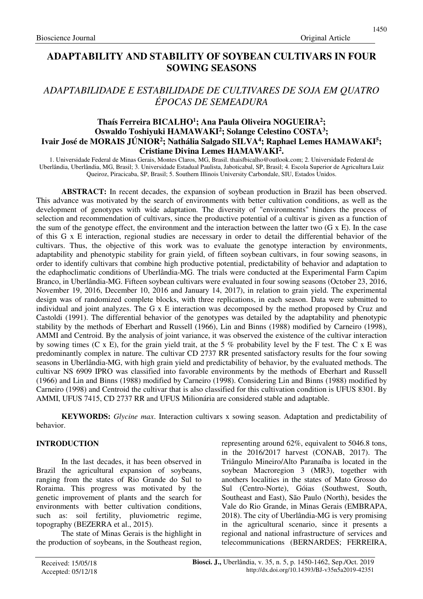# **ADAPTABILITY AND STABILITY OF SOYBEAN CULTIVARS IN FOUR SOWING SEASONS**

# *ADAPTABILIDADE E ESTABILIDADE DE CULTIVARES DE SOJA EM QUATRO ÉPOCAS DE SEMEADURA*

## **Thaís Ferreira BICALHO<sup>1</sup> ; Ana Paula Oliveira NOGUEIRA<sup>2</sup> ; Oswaldo Toshiyuki HAMAWAKI<sup>2</sup> ; Solange Celestino COSTA<sup>3</sup> ; Ivair José de MORAIS JÚNIOR<sup>2</sup> ; Nathália Salgado SILVA<sup>4</sup> ; Raphael Lemes HAMAWAKI<sup>5</sup> ; Cristiane Divina Lemes HAMAWAKI<sup>2</sup> .**

1. Universidade Federal de Minas Gerais, Montes Claros, MG, Brasil. thaisfbicalho@outlook.com; 2. Universidade Federal de Uberlândia, Uberlândia, MG, Brasil; 3. Universidade Estadual Paulista, Jaboticabal, SP, Brasil; 4. Escola Superior de Agricultura Luiz Queiroz, Piracicaba, SP, Brasil; 5. Southern Illinois University Carbondale, SIU, Estados Unidos.

**ABSTRACT:** In recent decades, the expansion of soybean production in Brazil has been observed. This advance was motivated by the search of environments with better cultivation conditions, as well as the development of genotypes with wide adaptation. The diversity of "environments" hinders the process of selection and recommendation of cultivars, since the productive potential of a cultivar is given as a function of the sum of the genotype effect, the environment and the interaction between the latter two  $(G \times E)$ . In the case of this G x E interaction, regional studies are necessary in order to detail the differential behavior of the cultivars. Thus, the objective of this work was to evaluate the genotype interaction by environments, adaptability and phenotypic stability for grain yield, of fifteen soybean cultivars, in four sowing seasons, in order to identify cultivars that combine high productive potential, predictability of behavior and adaptation to the edaphoclimatic conditions of Uberlândia-MG. The trials were conducted at the Experimental Farm Capim Branco, in Uberlândia-MG. Fifteen soybean cultivars were evaluated in four sowing seasons (October 23, 2016, November 19, 2016, December 10, 2016 and January 14, 2017), in relation to grain yield. The experimental design was of randomized complete blocks, with three replications, in each season. Data were submitted to individual and joint analyzes. The G x E interaction was decomposed by the method proposed by Cruz and Castoldi (1991). The differential behavior of the genotypes was detailed by the adaptability and phenotypic stability by the methods of Eberhart and Russell (1966), Lin and Binns (1988) modified by Carneiro (1998), AMMI and Centroid. By the analysis of joint variance, it was observed the existence of the cultivar interaction by sowing times (C x E), for the grain yield trait, at the 5 % probability level by the F test. The C x E was predominantly complex in nature. The cultivar CD 2737 RR presented satisfactory results for the four sowing seasons in Uberlândia-MG, with high grain yield and predictability of behavior, by the evaluated methods. The cultivar NS 6909 IPRO was classified into favorable environments by the methods of Eberhart and Russell (1966) and Lin and Binns (1988) modified by Carneiro (1998). Considering Lin and Binns (1988) modified by Carneiro (1998) and Centroid the cultivar that is also classified for this cultivation condition is UFUS 8301. By AMMI, UFUS 7415, CD 2737 RR and UFUS Milionária are considered stable and adaptable.

**KEYWORDS:** *Glycine max*. Interaction cultivars x sowing season. Adaptation and predictability of behavior.

## **INTRODUCTION**

In the last decades, it has been observed in Brazil the agricultural expansion of soybeans, ranging from the states of Rio Grande do Sul to Roraima. This progress was motivated by the genetic improvement of plants and the search for environments with better cultivation conditions, such as: soil fertility, pluviometric regime, topography (BEZERRA et al., 2015).

The state of Minas Gerais is the highlight in the production of soybeans, in the Southeast region, representing around 62%, equivalent to 5046.8 tons, in the 2016/2017 harvest (CONAB, 2017). The Triângulo Mineiro/Alto Paranaíba is located in the soybean Macroregion 3 (MR3), together with anothers localities in the states of Mato Grosso do Sul (Centro-Norte), Góias (Southwest, South, Southeast and East), São Paulo (North), besides the Vale do Rio Grande, in Minas Gerais (EMBRAPA, 2018). The city of Uberlândia-MG is very promising in the agricultural scenario, since it presents a regional and national infrastructure of services and telecommunications (BERNARDES; FERREIRA,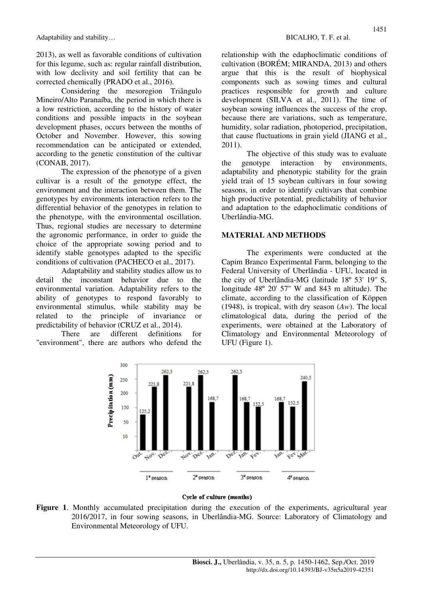2013), as well as favorable conditions of cultivation for this legume, such as: regular rainfall distribution, with low declivity and soil fertility that can be corrected chemically (PRADO et al., 2016).

Considering the mesoregion Triângulo Mineiro/Alto Paranaíba, the period in which there is a low restriction, according to the history of water conditions and possible impacts in the soybean development phases, occurs between the months of October and November. However, this sowing recommendation can be anticipated or extended, according to the genetic constitution of the cultivar (CONAB, 2017).

The expression of the phenotype of a given cultivar is a result of the genotype effect, the environment and the interaction between them. The genotypes by environments interaction refers to the differential behavior of the genotypes in relation to the phenotype, with the environmental oscillation. Thus, regional studies are necessary to determine the agronomic performance, in order to guide the choice of the appropriate sowing period and to identify stable genotypes adapted to the specific conditions of cultivation (PACHECO et al., 2017).

Adaptability and stability studies allow us to detail the inconstant behavior due to the environmental variation. Adaptability refers to the ability of genotypes to respond favorably to environmental stimulus, while stability may be related to the principle of invariance or predictability of behavior (CRUZ et al., 2014).

There are different definitions for "environment", there are authors who defend the relationship with the edaphoclimatic conditions of cultivation (BORÉM; MIRANDA, 2013) and others argue that this is the result of biophysical components such as sowing times and cultural practices responsible for growth and culture development (SILVA et al., 2011). The time of soybean sowing influences the success of the crop, because there are variations, such as temperature, humidity, solar radiation, photoperiod, precipitation, that cause fluctuations in grain yield (JIANG et al., 2011).

The objective of this study was to evaluate the genotype interaction by environments, adaptability and phenotypic stability for the grain yield trait of 15 soybean cultivars in four sowing seasons, in order to identify cultivars that combine high productive potential, predictability of behavior and adaptation to the edaphoclimatic conditions of Uberlândia-MG.

### **MATERIAL AND METHODS**

The experiments were conducted at the Capim Branco Experimental Farm, belonging to the Federal University of Uberlândia - UFU, located in the city of Uberlândia-MG (latitude 18º 53' 19'' S, longitude 48º 20' 57'' W and 843 m altitude). The climate, according to the classification of Köppen (1948), is tropical, with dry season (*Aw*). The local climatological data, during the period of the experiments, were obtained at the Laboratory of Climatology and Environmental Meteorology of UFU (Figure 1).



#### Cycle of culture (months)

**Figure 1**. Monthly accumulated precipitation during the execution of the experiments, agricultural year 2016/2017, in four sowing seasons, in Uberlândia-MG. Source: Laboratory of Climatology and Environmental Meteorology of UFU.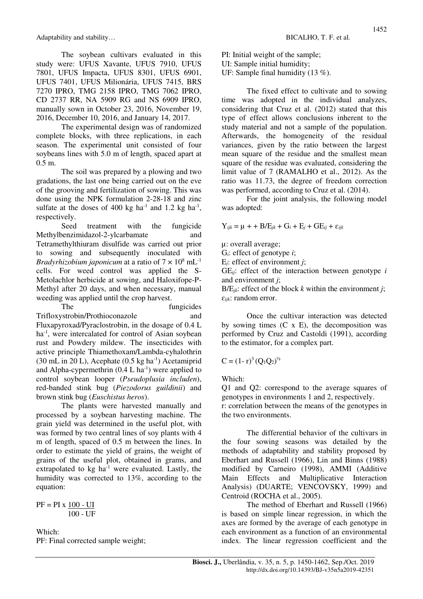The soybean cultivars evaluated in this study were: UFUS Xavante, UFUS 7910, UFUS 7801, UFUS Impacta, UFUS 8301, UFUS 6901, UFUS 7401, UFUS Milionária, UFUS 7415, BRS 7270 IPRO, TMG 2158 IPRO, TMG 7062 IPRO, CD 2737 RR, NA 5909 RG and NS 6909 IPRO, manually sown in October 23, 2016, November 19, 2016, December 10, 2016, and January 14, 2017.

The experimental design was of randomized complete blocks, with three replications, in each season. The experimental unit consisted of four soybeans lines with 5.0 m of length, spaced apart at 0.5 m.

The soil was prepared by a plowing and two gradations, the last one being carried out on the eve of the grooving and fertilization of sowing. This was done using the NPK formulation 2-28-18 and zinc sulfate at the doses of  $400 \text{ kg}$  ha<sup>-1</sup> and 1.2 kg ha<sup>-1</sup>, respectively.

Seed treatment with the fungicide Methylbenzimidazol-2-ylcarbamate and Tetramethylthiuram disulfide was carried out prior to sowing and subsequently inoculated with *Bradyrhizobium japonicum* at a ratio of  $7 \times 10^8$  mL<sup>-1</sup> cells. For weed control was applied the S-Metolachlor herbicide at sowing, and Haloxifope-P-Methyl after 20 days, and when necessary, manual weeding was applied until the crop harvest.

The fungicides Trifloxystrobin/Prothioconazole and Fluxapyroxad/Pyraclostrobin, in the dosage of 0.4 L ha<sup>-1</sup>, were intercalated for control of Asian soybean rust and Powdery mildew. The insecticides with active principle Thiamethoxam/Lambda-cyhalothrin  $(30 \text{ mL in } 20 \text{ L})$ , Acephate  $(0.5 \text{ kg ha}^{-1})$  Acetamiprid and Alpha-cypermethrin  $(0.4 \,$ L ha<sup>-1</sup>) were applied to control soybean looper (*Pseudoplusia includen*), red-banded stink bug (*Piezodorus guildinii*) and brown stink bug (*Euschistus heros*).

The plants were harvested manually and processed by a soybean harvesting machine. The grain yield was determined in the useful plot, with was formed by two central lines of soy plants with 4 m of length, spaced of 0.5 m between the lines. In order to estimate the yield of grains, the weight of grains of the useful plot, obtained in grams, and extrapolated to kg  $ha^{-1}$  were evaluated. Lastly, the humidity was corrected to 13%, according to the equation:

 $PF = PI \times 100 - UI$ 100 - UF

Which: PF: Final corrected sample weight; PI: Initial weight of the sample; UI: Sample initial humidity;

UF: Sample final humidity (13 %).

The fixed effect to cultivate and to sowing time was adopted in the individual analyzes, considering that Cruz et al. (2012) stated that this type of effect allows conclusions inherent to the study material and not a sample of the population. Afterwards, the homogeneity of the residual variances, given by the ratio between the largest mean square of the residue and the smallest mean square of the residue was evaluated, considering the limit value of 7 (RAMALHO et al., 2012). As the ratio was 11.73, the degree of freedom correction was performed, according to Cruz et al. (2014).

For the joint analysis, the following model was adopted:

 $Y_{ijk} = \mu + B/E_{jk} + G_i + E_j + GE_{ii} + \varepsilon_{iik}$ 

µ: overall average;

G*i*: effect of genotype *i*;

E*j*: effect of environment *j*;

GE*ij*: effect of the interaction between genotype *i*  and environment *j*;

 $B/E_{ik}$ : effect of the block *k* within the environment *j*; ɛ*ijk*: random error.

Once the cultivar interaction was detected by sowing times  $(C \times E)$ , the decomposition was performed by Cruz and Castoldi (1991), according to the estimator, for a complex part.

$$
C = (1 - r)^3 (Q_1 Q_2)^{1/2}
$$

Which:

Q1 and Q2: correspond to the average squares of genotypes in environments 1 and 2, respectively.

r: correlation between the means of the genotypes in the two environments.

The differential behavior of the cultivars in the four sowing seasons was detailed by the methods of adaptability and stability proposed by Eberhart and Russell (1966), Lin and Binns (1988) modified by Carneiro (1998), AMMI (Additive Main Effects and Multiplicative Interaction Analysis) (DUARTE; VENCOVSKY, 1999) and Centroid (ROCHA et al., 2005).

The method of Eberhart and Russell (1966) is based on simple linear regression, in which the axes are formed by the average of each genotype in each environment as a function of an environmental index. The linear regression coefficient and the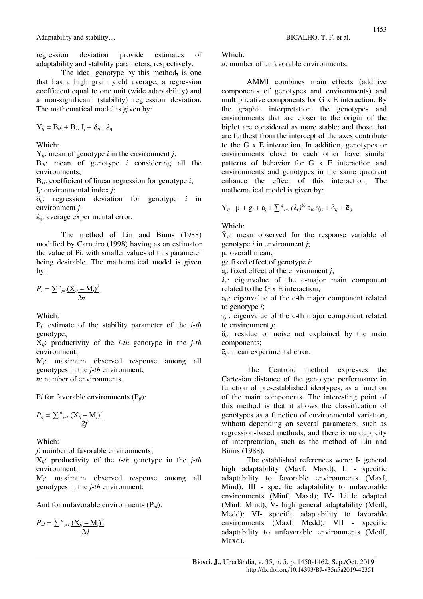regression deviation provide estimates of adaptability and stability parameters, respectively.

The ideal genotype by this method, is one that has a high grain yield average, a regression coefficient equal to one unit (wide adaptability) and a non-significant (stability) regression deviation. The mathematical model is given by:

Y*ij* = Β*0i* + Β*1i* I*j +* δ*ij +* ἐij

Which:

Y*ij*: mean of genotype *i* in the environment *j*;

Β*0i*: mean of genotype *i* considering all the environments;

Β*1i*: coefficient of linear regression for genotype *i*; I*j*: environmental index *j*;

δ*ij*: regression deviation for genotype *i* in environment *j*;

 $\dot{\epsilon}_{ii}$ : average experimental error.

The method of Lin and Binns (1988) modified by Carneiro (1998) having as an estimator the value of Pi, with smaller values of this parameter being desirable. The mathematical model is given by:

$$
P_i = \sum_{j=i}^{n} \frac{(X_{ij} - M_j)^2}{2n}
$$

Which:

P*i*: estimate of the stability parameter of the *i-th* genotype;

X*ij*: productivity of the *i-th* genotype in the *j-th* environment;

M*j*: maximum observed response among all genotypes in the *j-th* environment; *n*: number of environments.

P*i* for favorable environments (P*if*):

$$
P_{if} = \sum_{j=1}^{n} \frac{(X_{ij} - M_j)^2}{2f}
$$

Which:

*f*: number of favorable environments;

X*ij*: productivity of the *i-th* genotype in the *j-th*  environment;

M*j*: maximum observed response among all genotypes in the *j-th* environment.

And for unfavorable environments (P*id*):

$$
P_{id} = \sum_{j=1}^{n} \frac{(X_{ij} - M_j)^2}{2d}
$$

#### Which:

*d*: number of unfavorable environments.

AMMI combines main effects (additive components of genotypes and environments) and multiplicative components for G x E interaction. By the graphic interpretation, the genotypes and environments that are closer to the origin of the biplot are considered as more stable; and those that are furthest from the intercept of the axes contribute to the G x E interaction. In addition, genotypes or environments close to each other have similar patterns of behavior for G x E interaction and environments and genotypes in the same quadrant enhance the effect of this interaction. The mathematical model is given by:

$$
\bar{Y}_{ij} = \mu + g_i + a_j + \sum_{c=1}^{q} (\lambda_c)^{1/2} a_{ic} \gamma_{jc} + \delta_{ij} + \bar{e}_{ij}
$$

Which:

 $\bar{Y}_{ii}$ : mean observed for the response variable of genotype *i* in environment *j*;

μ: overall mean;

g*i*: fixed effect of genotype *i*:

a*j*: fixed effect of the environment *j*;

λ*c*: eigenvalue of the c-major main component related to the G x E interaction;

a*ic*: eigenvalue of the c-th major component related to genotype *i*;

 $\gamma_{ic}$ : eigenvalue of the c-th major component related to environment *j*;

δ*ij*: residue or noise not explained by the main components;

ē*ij*: mean experimental error.

The Centroid method expresses the Cartesian distance of the genotype performance in function of pre-established ideotypes, as a function of the main components. The interesting point of this method is that it allows the classification of genotypes as a function of environmental variation, without depending on several parameters, such as regression-based methods, and there is no duplicity of interpretation, such as the method of Lin and Binns (1988).

The established references were: I- general high adaptability (Maxf, Maxd); II - specific adaptability to favorable environments (Maxf, Mind); III - specific adaptability to unfavorable environments (Minf, Maxd); IV- Little adapted (Minf, Mind); V- high general adaptability (Medf, Medd); VI- specific adaptability to favorable environments (Maxf, Medd); VII - specific adaptability to unfavorable environments (Medf, Maxd).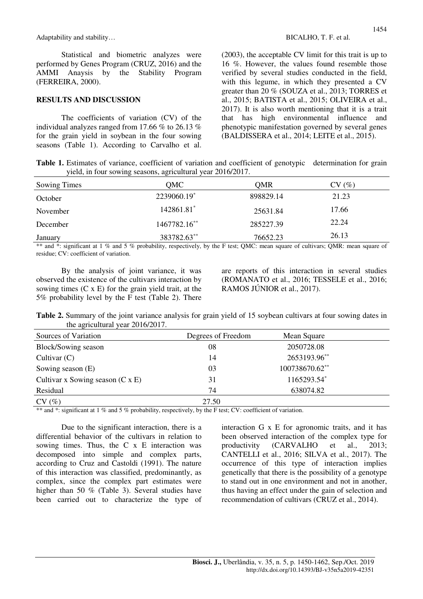Statistical and biometric analyzes were performed by Genes Program (CRUZ, 2016) and the AMMI Anaysis by the Stability Program (FERREIRA, 2000).

#### **RESULTS AND DISCUSSION**

The coefficients of variation (CV) of the individual analyzes ranged from 17.66 % to 26.13 % for the grain yield in soybean in the four sowing seasons (Table 1). According to Carvalho et al. (2003), the acceptable CV limit for this trait is up to 16 %. However, the values found resemble those verified by several studies conducted in the field, with this legume, in which they presented a CV greater than 20 % (SOUZA et al., 2013; TORRES et al., 2015; BATISTA et al., 2015; OLIVEIRA et al., 2017). It is also worth mentioning that it is a trait that has high environmental influence and phenotypic manifestation governed by several genes (BALDISSERA et al., 2014; LEITE et al., 2015).

Table 1. Estimates of variance, coefficient of variation and coefficient of genotypic determination for grain yield, in four sowing seasons, agricultural year 2016/2017.

| Sowing Times | QMC          | OMR       | CV(%) |  |
|--------------|--------------|-----------|-------|--|
| October      | 2239060.19*  | 898829.14 | 21.23 |  |
| November     | 142861.81*   | 25631.84  | 17.66 |  |
| December     | 1467782.16** | 285227.39 | 22.24 |  |
| January      | 383782.63**  | 76652.23  | 26.13 |  |

\*\* and \*: significant at 1 % and 5 % probability, respectively, by the F test; OMC: mean square of cultivars; OMR; mean square of residue; CV: coefficient of variation.

By the analysis of joint variance, it was observed the existence of the cultivars interaction by sowing times  $(C \times E)$  for the grain yield trait, at the 5% probability level by the F test (Table 2). There

are reports of this interaction in several studies (ROMANATO et al., 2016; TESSELE et al., 2016; RAMOS JÚNIOR et al., 2017).

**Table 2.** Summary of the joint variance analysis for grain yield of 15 soybean cultivars at four sowing dates in the agricultural year 2016/2017.

| Sources of Variation                    | Degrees of Freedom | Mean Square    |  |
|-----------------------------------------|--------------------|----------------|--|
| Block/Sowing season                     | 08                 | 2050728.08     |  |
| Cultivar $(C)$                          | 14                 | 2653193.96**   |  |
| Sowing season (E)                       | 03                 | 100738670.62** |  |
| Cultivar x Sowing season $(C \times E)$ | 31                 | 1165293.54*    |  |
| Residual                                | 74                 | 638074.82      |  |
| CV(%)                                   | 27.50              |                |  |

\*\* and \*: significant at 1 % and 5 % probability, respectively, by the F test; CV: coefficient of variation.

Due to the significant interaction, there is a differential behavior of the cultivars in relation to sowing times. Thus, the C x E interaction was decomposed into simple and complex parts, according to Cruz and Castoldi (1991). The nature of this interaction was classified, predominantly, as complex, since the complex part estimates were higher than 50 % (Table 3). Several studies have been carried out to characterize the type of interaction G x E for agronomic traits, and it has been observed interaction of the complex type for productivity (CARVALHO et al., 2013; CANTELLI et al., 2016; SILVA et al., 2017). The occurrence of this type of interaction implies genetically that there is the possibility of a genotype to stand out in one environment and not in another, thus having an effect under the gain of selection and recommendation of cultivars (CRUZ et al., 2014).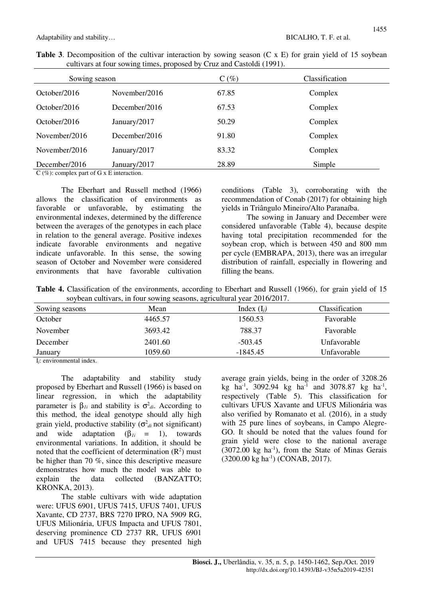| Sowing season |               | $C(\%)$ | Classification |
|---------------|---------------|---------|----------------|
| October/2016  | November/2016 | 67.85   | Complex        |
| October/2016  | December/2016 | 67.53   | Complex        |
| October/2016  | January/2017  | 50.29   | Complex        |
| November/2016 | December/2016 | 91.80   | Complex        |
| November/2016 | January/2017  | 83.32   | Complex        |
| December/2016 | January/2017  | 28.89   | Simple         |

| <b>Table 3.</b> Decomposition of the cultivar interaction by sowing season (C x E) for grain yield of 15 soybean |  |  |  |  |
|------------------------------------------------------------------------------------------------------------------|--|--|--|--|
| cultivars at four sowing times, proposed by Cruz and Castoldi (1991).                                            |  |  |  |  |

C (%): complex part of G x E interaction.

The Eberhart and Russell method (1966) allows the classification of environments as favorable or unfavorable, by estimating the environmental indexes, determined by the difference between the averages of the genotypes in each place in relation to the general average. Positive indexes indicate favorable environments and negative indicate unfavorable. In this sense, the sowing season of October and November were considered environments that have favorable cultivation conditions (Table 3), corroborating with the recommendation of Conab (2017) for obtaining high yields in Triângulo Mineiro/Alto Paranaíba.

The sowing in January and December were considered unfavorable (Table 4), because despite having total precipitation recommended for the soybean crop, which is between 450 and 800 mm per cycle (EMBRAPA, 2013), there was an irregular distribution of rainfall, especially in flowering and filling the beans.

**Table 4.** Classification of the environments, according to Eberhart and Russell (1966), for grain yield of 15 soybean cultivars, in four sowing seasons, agricultural year 2016/2017.

| Sowing seasons | Mean    | Index $(I_i)$ | Classification |  |
|----------------|---------|---------------|----------------|--|
| October        | 4465.57 | 1560.53       | Favorable      |  |
| November       | 3693.42 | 788.37        | Favorable      |  |
| December       | 2401.60 | $-503.45$     | Unfavorable    |  |
| January<br>.   | 1059.60 | $-1845.45$    | Unfavorable    |  |

I*j*: environmental index.

The adaptability and stability study proposed by Eberhart and Russell (1966) is based on linear regression, in which the adaptability parameter is  $β_{1i}$  and stability is  $σ<sup>2</sup><sub>di</sub>$ . According to this method, the ideal genotype should ally high grain yield, productive stability  $(\sigma^2_{di} \text{ not significant})$ and wide adaptation  $(\beta_{1i} = 1)$ , towards environmental variations. In addition, it should be noted that the coefficient of determination  $(R^2)$  must be higher than 70 %, since this descriptive measure demonstrates how much the model was able to explain the data collected (BANZATTO; KRONKA, 2013).

The stable cultivars with wide adaptation were: UFUS 6901, UFUS 7415, UFUS 7401, UFUS Xavante, CD 2737, BRS 7270 IPRO, NA 5909 RG, UFUS Milionária, UFUS Impacta and UFUS 7801, deserving prominence CD 2737 RR, UFUS 6901 and UFUS 7415 because they presented high

average grain yields, being in the order of 3208.26 kg ha<sup>-1</sup>, 3092.94 kg ha<sup>-1</sup> and 3078.87 kg ha<sup>-1</sup>, respectively (Table 5). This classification for cultivars UFUS Xavante and UFUS Milionária was also verified by Romanato et al. (2016), in a study with 25 pure lines of soybeans, in Campo Alegre-GO. It should be noted that the values found for grain yield were close to the national average  $(3072.00 \text{ kg} \text{ ha}^{-1})$ , from the State of Minas Gerais (3200.00 kg ha-1) (CONAB, 2017).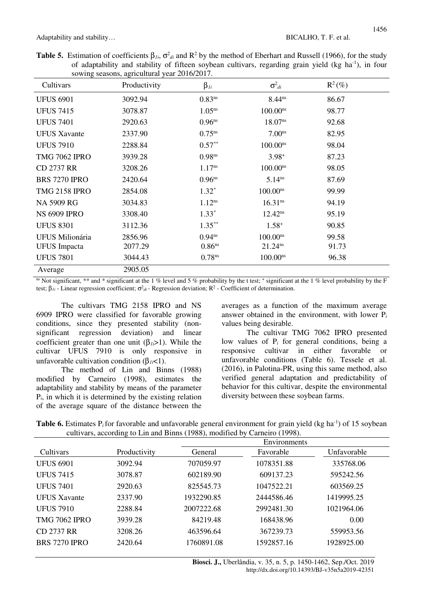| <b>Table 5.</b> Estimation of coefficients $\beta_{1i}$ , $\sigma^2_{di}$ and $\mathbb{R}^2$ by the method of Eberhart and Russell (1966), for the study |  |  |
|----------------------------------------------------------------------------------------------------------------------------------------------------------|--|--|
| of adaptability and stability of fifteen soybean cultivars, regarding grain yield (kg ha <sup>-1</sup> ), in four                                        |  |  |
| sowing seasons, agricultural year 2016/2017.                                                                                                             |  |  |

| Cultivars              | Productivity | $\beta_{1i}$         | $\sigma^2_{di}$     | $R^2(\%)$ |  |
|------------------------|--------------|----------------------|---------------------|-----------|--|
| <b>UFUS 6901</b>       | 3092.94      | $0.83^{ns}$          | 8.44 <sup>ns</sup>  | 86.67     |  |
| <b>UFUS 7415</b>       | 3078.87      | $1.05^{ns}$          | $100.00^{ns}$       | 98.77     |  |
| <b>UFUS 7401</b>       | 2920.63      | $0.96$ <sup>ns</sup> | 18.07 <sup>ns</sup> | 92.68     |  |
| <b>UFUS Xavante</b>    | 2337.90      | $0.75^{ns}$          | 7.00 <sup>ns</sup>  | 82.95     |  |
| <b>UFUS 7910</b>       | 2288.84      | $0.57**$             | $100.00^{ns}$       | 98.04     |  |
| <b>TMG 7062 IPRO</b>   | 3939.28      | $0.98$ ns            | $3.98^{+}$          | 87.23     |  |
| <b>CD 2737 RR</b>      | 3208.26      | $1.17^{ns}$          | $100.00^{ns}$       | 98.05     |  |
| <b>BRS 7270 IPRO</b>   | 2420.64      | $0.96$ <sup>ns</sup> | $5.14^{ns}$         | 87.69     |  |
| <b>TMG 2158 IPRO</b>   | 2854.08      | $1.32*$              | $100.00^{ns}$       | 99.99     |  |
| NA 5909 RG             | 3034.83      | $1.12^{ns}$          | 16.31 <sup>ns</sup> | 94.19     |  |
| <b>NS 6909 IPRO</b>    | 3308.40      | $1.33*$              | $12.42^{ns}$        | 95.19     |  |
| <b>UFUS 8301</b>       | 3112.36      | $1.35***$            | $1.58^{+}$          | 90.85     |  |
| <b>UFUS Milionária</b> | 2856.96      | $0.94^{ns}$          | $100.00^{ns}$       | 99.58     |  |
| <b>UFUS</b> Impacta    | 2077.29      | $0.86$ <sup>ns</sup> | 21.24 <sup>ns</sup> | 91.73     |  |
| <b>UFUS 7801</b>       | 3044.43      | 0.78 <sup>ns</sup>   | $100.00^{ns}$       | 96.38     |  |
| Average                | 2905.05      |                      |                     |           |  |

<sup>ns</sup> Not significant,  $**$  and  $*$  significant at the 1 % level and 5 % probability by the t test;  $*$  significant at the 1 % level probability by the F test;  $\beta_{1i}$  - Linear regression coefficient;  $\sigma^2_{di}$  - Regression deviation;  $R^2$  - Coefficient of determination.

The cultivars TMG 2158 IPRO and NS 6909 IPRO were classified for favorable growing conditions, since they presented stability (nonsignificant regression deviation) and linear coefficient greater than one unit  $(\beta_{li} > 1)$ . While the cultivar UFUS 7910 is only responsive in unfavorable cultivation condition (β*1i*<1).

The method of Lin and Binns (1988) modified by Carneiro (1998), estimates the adaptability and stability by means of the parameter P*i*, in which it is determined by the existing relation of the average square of the distance between the averages as a function of the maximum average answer obtained in the environment, with lower P*<sup>i</sup>* values being desirable.

The cultivar TMG 7062 IPRO presented low values of P<sub>i</sub> for general conditions, being a responsive cultivar in either favorable or unfavorable conditions (Table 6). Tessele et al. (2016), in Palotina-PR, using this same method, also verified general adaptation and predictability of behavior for this cultivar, despite the environmental diversity between these soybean farms.

| <b>Table 6.</b> Estimates $P_i$ for favorable and unfavorable general environment for grain yield (kg ha <sup>-1</sup> ) of 15 soybean |  |
|----------------------------------------------------------------------------------------------------------------------------------------|--|
| cultivars, according to Lin and Binns (1988), modified by Carneiro (1998).                                                             |  |

|                      |              | Environments |            |             |  |
|----------------------|--------------|--------------|------------|-------------|--|
| Cultivars            | Productivity | General      | Favorable  | Unfavorable |  |
| <b>UFUS 6901</b>     | 3092.94      | 707059.97    | 1078351.88 | 335768.06   |  |
| <b>UFUS 7415</b>     | 3078.87      | 602189.90    | 609137.23  | 595242.56   |  |
| <b>UFUS 7401</b>     | 2920.63      | 825545.73    | 1047522.21 | 603569.25   |  |
| <b>UFUS</b> Xavante  | 2337.90      | 1932290.85   | 2444586.46 | 1419995.25  |  |
| <b>UFUS 7910</b>     | 2288.84      | 2007222.68   | 2992481.30 | 1021964.06  |  |
| <b>TMG 7062 IPRO</b> | 3939.28      | 84219.48     | 168438.96  | 0.00        |  |
| <b>CD 2737 RR</b>    | 3208.26      | 463596.64    | 367239.73  | 559953.56   |  |
| <b>BRS 7270 IPRO</b> | 2420.64      | 1760891.08   | 1592857.16 | 1928925.00  |  |
|                      |              |              |            |             |  |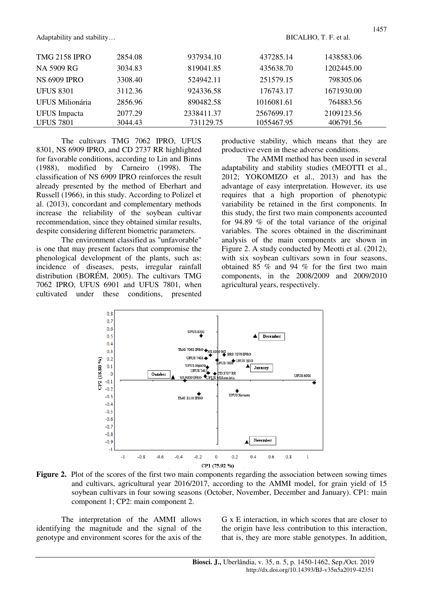| <b>TMG 2158 IPRO</b> | 2854.08 | 937934.10  | 437285.14  | 1438583.06 |
|----------------------|---------|------------|------------|------------|
| NA 5909 RG           | 3034.83 | 819041.85  | 435638.70  | 1202445.00 |
| <b>NS 6909 IPRO</b>  | 3308.40 | 524942.11  | 251579.15  | 798305.06  |
| <b>UFUS 8301</b>     | 3112.36 | 924336.58  | 176743.17  | 1671930.00 |
| UFUS Milionária      | 2856.96 | 890482.58  | 1016081.61 | 764883.56  |
| <b>UFUS</b> Impacta  | 2077.29 | 2338411.37 | 2567699.17 | 2109123.56 |
| <b>UFUS 7801</b>     | 3044.43 | 731129.75  | 1055467.95 | 406791.56  |

The cultivars TMG 7062 IPRO, UFUS 8301, NS 6909 IPRO, and CD 2737 RR highlighted for favorable conditions, according to Lin and Binns (1988), modified by Carneiro (1998). The classification of NS 6909 IPRO reinforces the result already presented by the method of Eberhart and Russell (1966), in this study. According to Polizel et al. (2013), concordant and complementary methods increase the reliability of the soybean cultivar recommendation, since they obtained similar results, despite considering different biometric parameters.

The environment classified as "unfavorable" is one that may present factors that compromise the phenological development of the plants, such as: incidence of diseases, pests, irregular rainfall distribution (BORÉM, 2005). The cultivars TMG 7062 IPRO, UFUS 6901 and UFUS 7801, when cultivated under these conditions, presented productive stability, which means that they are productive even in these adverse conditions.

The AMMI method has been used in several adaptability and stability studies (MEOTTI et al., 2012; YOKOMIZO et al., 2013) and has the advantage of easy interpretation. However, its use requires that a high proportion of phenotypic variability be retained in the first components. In this study, the first two main components accounted for 94.89 % of the total variance of the original variables. The scores obtained in the discriminant analysis of the main components are shown in Figure 2. A study conducted by Meotti et al. (2012), with six soybean cultivars sown in four seasons, obtained 85 % and 94 % for the first two main components, in the 2008/2009 and 2009/2010 agricultural years, respectively.



**Figure 2.** Plot of the scores of the first two main components regarding the association between sowing times and cultivars, agricultural year 2016/2017, according to the AMMI model, for grain yield of 15 soybean cultivars in four sowing seasons (October, November, December and January). CP1: main component 1; CP2: main component 2.

The interpretation of the AMMI allows identifying the magnitude and the signal of the genotype and environment scores for the axis of the

G x E interaction, in which scores that are closer to the origin have less contribution to this interaction, that is, they are more stable genotypes. In addition,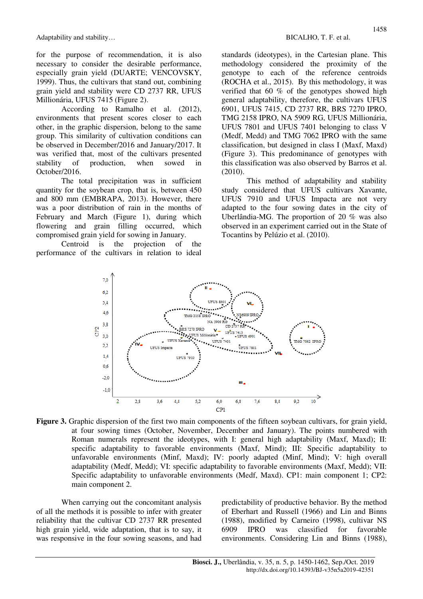for the purpose of recommendation, it is also necessary to consider the desirable performance, especially grain yield (DUARTE; VENCOVSKY, 1999). Thus, the cultivars that stand out, combining grain yield and stability were CD 2737 RR, UFUS Millionária, UFUS 7415 (Figure 2).

According to Ramalho et al. (2012), environments that present scores closer to each other, in the graphic dispersion, belong to the same group. This similarity of cultivation conditions can be observed in December/2016 and January/2017. It was verified that, most of the cultivars presented stability of production, when sowed in October/2016.

The total precipitation was in sufficient quantity for the soybean crop, that is, between 450 and 800 mm (EMBRAPA, 2013). However, there was a poor distribution of rain in the months of February and March (Figure 1), during which flowering and grain filling occurred, which compromised grain yield for sowing in January.

Centroid is the projection of the performance of the cultivars in relation to ideal standards (ideotypes), in the Cartesian plane. This methodology considered the proximity of the genotype to each of the reference centroids (ROCHA et al., 2015). By this methodology, it was verified that 60 % of the genotypes showed high general adaptability, therefore, the cultivars UFUS 6901, UFUS 7415, CD 2737 RR, BRS 7270 IPRO, TMG 2158 IPRO, NA 5909 RG, UFUS Millionária, UFUS 7801 and UFUS 7401 belonging to class V (Medf, Medd) and TMG 7062 IPRO with the same classification, but designed in class I (Maxf, Maxd) (Figure 3). This predominance of genotypes with this classification was also observed by Barros et al. (2010).

This method of adaptability and stability study considered that UFUS cultivars Xavante, UFUS 7910 and UFUS Impacta are not very adapted to the four sowing dates in the city of Uberlândia-MG. The proportion of 20 % was also observed in an experiment carried out in the State of Tocantins by Pelúzio et al. (2010).



**Figure 3.** Graphic dispersion of the first two main components of the fifteen soybean cultivars, for grain yield, at four sowing times (October, November, December and January). The points numbered with Roman numerals represent the ideotypes, with I: general high adaptability (Maxf, Maxd); II: specific adaptability to favorable environments (Maxf, Mind); III: Specific adaptability to unfavorable environments (Minf, Maxd); IV: poorly adapted (Minf, Mind); V: high overall adaptability (Medf, Medd); VI: specific adaptability to favorable environments (Maxf, Medd); VII: Specific adaptability to unfavorable environments (Medf, Maxd). CP1: main component 1; CP2: main component 2.

When carrying out the concomitant analysis of all the methods it is possible to infer with greater reliability that the cultivar CD 2737 RR presented high grain yield, wide adaptation, that is to say, it was responsive in the four sowing seasons, and had predictability of productive behavior. By the method of Eberhart and Russell (1966) and Lin and Binns (1988), modified by Carneiro (1998), cultivar NS 6909 IPRO was classified for favorable environments. Considering Lin and Binns (1988),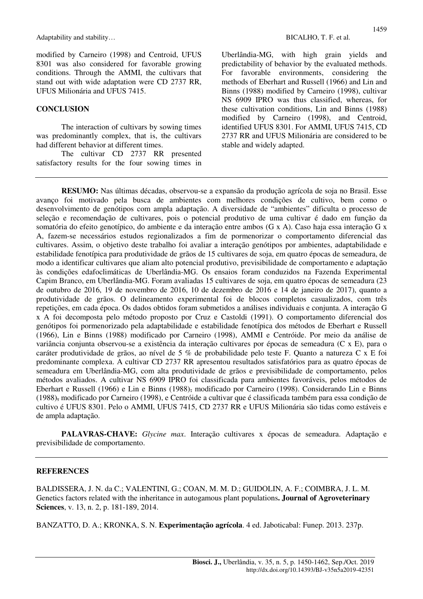modified by Carneiro (1998) and Centroid, UFUS 8301 was also considered for favorable growing conditions. Through the AMMI, the cultivars that stand out with wide adaptation were CD 2737 RR, UFUS Milionária and UFUS 7415.

### **CONCLUSION**

The interaction of cultivars by sowing times was predominantly complex, that is, the cultivars had different behavior at different times.

The cultivar CD 2737 RR presented satisfactory results for the four sowing times in Uberlândia-MG, with high grain yields and predictability of behavior by the evaluated methods. For favorable environments, considering the methods of Eberhart and Russell (1966) and Lin and Binns (1988) modified by Carneiro (1998), cultivar NS 6909 IPRO was thus classified, whereas, for these cultivation conditions, Lin and Binns (1988) modified by Carneiro (1998), and Centroid, identified UFUS 8301. For AMMI, UFUS 7415, CD 2737 RR and UFUS Milionária are considered to be stable and widely adapted.

**RESUMO:** Nas últimas décadas, observou-se a expansão da produção agrícola de soja no Brasil. Esse avanço foi motivado pela busca de ambientes com melhores condições de cultivo, bem como o desenvolvimento de genótipos com ampla adaptação. A diversidade de "ambientes" dificulta o processo de seleção e recomendação de cultivares, pois o potencial produtivo de uma cultivar é dado em função da somatória do efeito genotípico, do ambiente e da interação entre ambos (G x A). Caso haja essa interação G x A, fazem-se necessários estudos regionalizados a fim de pormenorizar o comportamento diferencial das cultivares. Assim, o objetivo deste trabalho foi avaliar a interação genótipos por ambientes, adaptabilidade e estabilidade fenotípica para produtividade de grãos de 15 cultivares de soja, em quatro épocas de semeadura, de modo a identificar cultivares que aliam alto potencial produtivo, previsibilidade de comportamento e adaptação às condições edafoclimáticas de Uberlândia-MG. Os ensaios foram conduzidos na Fazenda Experimental Capim Branco, em Uberlândia-MG. Foram avaliadas 15 cultivares de soja, em quatro épocas de semeadura (23 de outubro de 2016, 19 de novembro de 2016, 10 de dezembro de 2016 e 14 de janeiro de 2017), quanto a produtividade de grãos. O delineamento experimental foi de blocos completos casualizados, com três repetições, em cada época. Os dados obtidos foram submetidos a análises individuais e conjunta. A interação G x A foi decomposta pelo método proposto por Cruz e Castoldi (1991). O comportamento diferencial dos genótipos foi pormenorizado pela adaptabilidade e estabilidade fenotípica dos métodos de Eberhart e Russell (1966), Lin e Binns (1988) modificado por Carneiro (1998), AMMI e Centróide. Por meio da análise de variância conjunta observou-se a existência da interação cultivares por épocas de semeadura (C x E), para o caráter produtividade de grãos, ao nível de 5 % de probabilidade pelo teste F. Quanto a natureza C x E foi predominante complexa. A cultivar CD 2737 RR apresentou resultados satisfatórios para as quatro épocas de semeadura em Uberlândia-MG, com alta produtividade de grãos e previsibilidade de comportamento, pelos métodos avaliados. A cultivar NS 6909 IPRO foi classificada para ambientes favoráveis, pelos métodos de Eberhart e Russell (1966) e Lin e Binns (1988), modificado por Carneiro (1998). Considerando Lin e Binns (1988), modificado por Carneiro (1998), e Centróide a cultivar que é classificada também para essa condição de cultivo é UFUS 8301. Pelo o AMMI, UFUS 7415, CD 2737 RR e UFUS Milionária são tidas como estáveis e de ampla adaptação.

**PALAVRAS-CHAVE:** *Glycine max*. Interação cultivares x épocas de semeadura. Adaptação e previsibilidade de comportamento.

#### **REFERENCES**

BALDISSERA, J. N. da C.; VALENTINI, G.; COAN, M. M. D.; GUIDOLIN, A. F.; COIMBRA, J. L. M. Genetics factors related with the inheritance in autogamous plant populations**. Journal of Agroveterinary Sciences**, v. 13, n. 2, p. 181-189, 2014.

BANZATTO, D. A.; KRONKA, S. N. **Experimentação agrícola**. 4 ed. Jaboticabal: Funep. 2013. 237p.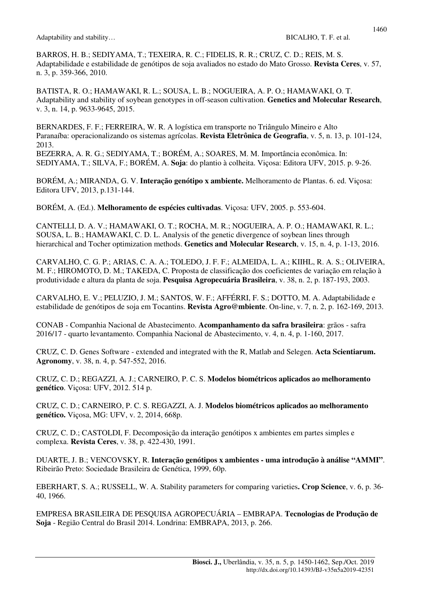BARROS, H. B.; SEDIYAMA, T.; TEXEIRA, R. C.; FIDELIS, R. R.; CRUZ, C. D.; REIS, M. S. Adaptabilidade e estabilidade de genótipos de soja avaliados no estado do Mato Grosso. **Revista Ceres**, v. 57, n. 3, p. 359-366, 2010.

BATISTA, R. O.; HAMAWAKI, R. L.; SOUSA, L. B.; NOGUEIRA, A. P. O.; HAMAWAKI, O. T. Adaptability and stability of soybean genotypes in off-season cultivation. **Genetics and Molecular Research**, v. 3, n. 14, p. 9633-9645, 2015.

BERNARDES, F. F.; FERREIRA, W. R. A logística em transporte no Triângulo Mineiro e Alto Paranaíba: operacionalizando os sistemas agrícolas. **Revista Eletrônica de Geografia**, v. 5, n. 13, p. 101-124, 2013.

BEZERRA, A. R. G.; SEDIYAMA, T.; BORÉM, A.; SOARES, M. M. Importância econômica. In: SEDIYAMA, T.; SILVA, F.; BORÉM, A. **Soja**: do plantio à colheita. Viçosa: Editora UFV, 2015. p. 9-26.

BORÉM, A.; MIRANDA, G. V. **Interação genótipo x ambiente.** Melhoramento de Plantas. 6. ed. Viçosa: Editora UFV, 2013, p.131-144.

BORÉM, A. (Ed.). **Melhoramento de espécies cultivadas**. Viçosa: UFV, 2005. p. 553-604.

CANTELLI, D. A. V.; HAMAWAKI, O. T.; ROCHA, M. R.; NOGUEIRA, A. P. O.; HAMAWAKI, R. L.; SOUSA, L. B.; HAMAWAKI, C. D. L. Analysis of the genetic divergence of soybean lines through hierarchical and Tocher optimization methods. **Genetics and Molecular Research**, v. 15, n. 4, p. 1-13, 2016.

CARVALHO, C. G. P.; ARIAS, C. A. A.; TOLEDO, J. F. F.; ALMEIDA, L. A.; KIIHL, R. A. S.; OLIVEIRA, M. F.; HIROMOTO, D. M.; TAKEDA, C. Proposta de classificação dos coeficientes de variação em relação à produtividade e altura da planta de soja. **Pesquisa Agropecuária Brasileira**, v. 38, n. 2, p. 187-193, 2003.

CARVALHO, E. V.; PELUZIO, J. M.; SANTOS, W. F.; AFFÉRRI, F. S.; DOTTO, M. A. Adaptabilidade e estabilidade de genótipos de soja em Tocantins. **Revista Agro@mbiente**. On-line, v. 7, n. 2, p. 162-169, 2013.

CONAB - Companhia Nacional de Abastecimento. **Acompanhamento da safra brasileira**: grãos - safra 2016/17 - quarto levantamento. Companhia Nacional de Abastecimento, v. 4, n. 4, p. 1-160, 2017.

CRUZ, C. D. Genes Software - extended and integrated with the R, Matlab and Selegen. **Acta Scientiarum. Agronomy**, v. 38, n. 4, p. 547-552, 2016.

CRUZ, C. D.; REGAZZI, A. J.; CARNEIRO, P. C. S. **Modelos biométricos aplicados ao melhoramento genético**. Viçosa: UFV, 2012. 514 p.

CRUZ, C. D.; CARNEIRO, P. C. S. REGAZZI, A. J. **Modelos biométricos aplicados ao melhoramento genético.** Viçosa, MG: UFV, v. 2, 2014, 668p.

CRUZ, C. D.; CASTOLDI, F. Decomposição da interação genótipos x ambientes em partes simples e complexa. **Revista Ceres**, v. 38, p. 422-430, 1991.

DUARTE, J. B.; VENCOVSKY, R. **Interação genótipos x ambientes - uma introdução à análise "AMMI"**. Ribeirão Preto: Sociedade Brasileira de Genética, 1999, 60p.

EBERHART, S. A.; RUSSELL, W. A. Stability parameters for comparing varieties**. Crop Science**, v. 6, p. 36- 40, 1966.

EMPRESA BRASILEIRA DE PESQUISA AGROPECUÁRIA – EMBRAPA. **Tecnologias de Produção de Soja** - Região Central do Brasil 2014. Londrina: EMBRAPA, 2013, p. 266.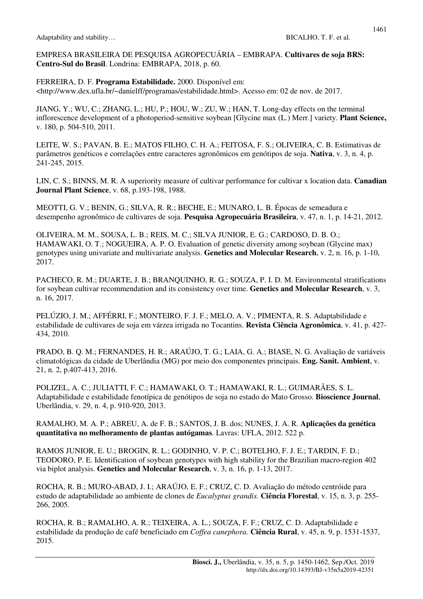EMPRESA BRASILEIRA DE PESQUISA AGROPECUÁRIA – EMBRAPA. **Cultivares de soja BRS: Centro-Sul do Brasil**. Londrina: EMBRAPA, 2018, p. 60.

FERREIRA, D. F. **Programa Estabilidade.** 2000. Disponível em: <http://www.dex.ufla.br/~danielff/programas/estabilidade.html>. Acesso em: 02 de nov. de 2017.

JIANG, Y.; WU, C.; ZHANG, L.; HU, P.; HOU, W.; ZU, W.; HAN, T. Long-day effects on the terminal inflorescence development of a photoperiod-sensitive soybean [Glycine max (L.) Merr.] variety. **Plant Science,** v. 180, p. 504-510, 2011.

LEITE, W. S.; PAVAN, B. E.; MATOS FILHO, C. H. A.; FEITOSA, F. S.; OLIVEIRA, C. B. Estimativas de parâmetros genéticos e correlações entre caracteres agronômicos em genótipos de soja. **Nativa**, v. 3, n. 4, p. 241-245, 2015.

LIN, C. S.; BINNS, M. R. A superiority measure of cultivar performance for cultivar x location data. **Canadian Journal Plant Science**, v. 68, p.193-198, 1988.

MEOTTI, G. V.; BENIN, G.; SILVA, R. R.; BECHE, E.; MUNARO, L. B. Épocas de semeadura e desempenho agronômico de cultivares de soja. **Pesquisa Agropecuária Brasileira**, v. 47, n. 1, p. 14-21, 2012.

OLIVEIRA, M. M., SOUSA, L. B.; REIS, M. C.; SILVA JUNIOR, E. G.; CARDOSO, D. B. O.; HAMAWAKI, O. T.; NOGUEIRA, A. P. O. Evaluation of genetic diversity among soybean (Glycine max) genotypes using univariate and multivariate analysis. **Genetics and Molecular Research**, v. 2, n. 16, p. 1-10, 2017.

PACHECO, R. M.; DUARTE, J. B.; BRANQUINHO, R. G.; SOUZA, P. I. D. M. Environmental stratifications for soybean cultivar recommendation and its consistency over time. **Genetics and Molecular Research**, v. 3, n. 16, 2017.

PELÚZIO, J. M.; AFFÉRRI, F.; MONTEIRO, F. J. F.; MELO, A. V.; PIMENTA, R. S. Adaptabilidade e estabilidade de cultivares de soja em várzea irrigada no Tocantins. **Revista Ciência Agronômica**, v. 41, p. 427- 434, 2010.

PRADO, B. Q. M.; FERNANDES, H. R.; ARAÚJO, T. G.; LAIA, G. A.; BIASE, N. G. Avaliação de variáveis climatológicas da cidade de Uberlândia (MG) por meio dos componentes principais. **Eng. Sanit. Ambient**, v. 21, n. 2, p.407-413, 2016.

POLIZEL, A. C.; JULIATTI, F. C.; HAMAWAKI, O. T.; HAMAWAKI, R. L.; GUIMARÃES, S. L. Adaptabilidade e estabilidade fenotípica de genótipos de soja no estado do Mato Grosso. **Bioscience Journal**, Uberlândia, v. 29, n. 4, p. 910-920, 2013.

RAMALHO, M. A. P.; ABREU, A. de F. B.; SANTOS, J. B. dos; NUNES, J. A. R. **Aplicações da genética quantitativa no melhoramento de plantas autógamas**. Lavras: UFLA, 2012. 522 p.

RAMOS JUNIOR, E. U.; BROGIN, R. L.; GODINHO, V. P. C.; BOTELHO, F. J. E.; TARDIN, F. D.; TEODORO, P. E. Identification of soybean genotypes with high stability for the Brazilian macro-region 402 via biplot analysis. **Genetics and Molecular Research**, v. 3, n. 16, p. 1-13, 2017.

ROCHA, R. B.; MURO-ABAD, J. I.; ARAÚJO, E. F.; CRUZ, C. D. Avaliação do método centróide para estudo de adaptabilidade ao ambiente de clones de *Eucalyptus grandis.* **Ciência Florestal**, v. 15, n. 3, p. 255- 266, 2005.

ROCHA, R. B.; RAMALHO, A. R.; TEIXEIRA, A. L.; SOUZA, F. F.; CRUZ, C. D. Adaptabilidade e estabilidade da produção de café beneficiado em *Coffea canephora.* **Ciência Rural**, v. 45, n. 9, p. 1531-1537, 2015.

http://dx.doi.org/10.14393/BJ-v35n5a2019-42351